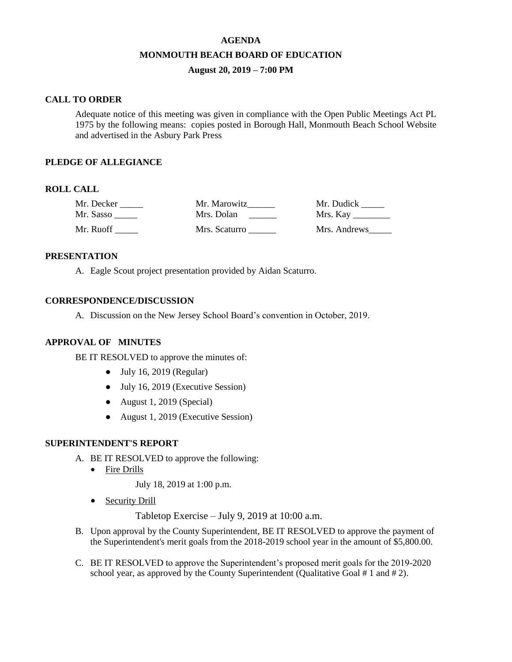# **AGENDA MONMOUTH BEACH BOARD OF EDUCATION August 20, 2019 – 7:00 PM**

#### **CALL TO ORDER**

Adequate notice of this meeting was given in compliance with the Open Public Meetings Act PL 1975 by the following means: copies posted in Borough Hall, Monmouth Beach School Website and advertised in the Asbury Park Press

#### **PLEDGE OF ALLEGIANCE**

## **ROLL CALL**

| Mr. Decker | Mr. Marowitz  | Mr. Dudick   |
|------------|---------------|--------------|
| Mr. Sasso  | Mrs. Dolan    |              |
| Mr. Ruoff  | Mrs. Scaturro | Mrs. Andrews |

#### **PRESENTATION**

A. Eagle Scout project presentation provided by Aidan Scaturro.

## **CORRESPONDENCE/DISCUSSION**

A. Discussion on the New Jersey School Board's convention in October, 2019.

# **APPROVAL OF MINUTES**

BE IT RESOLVED to approve the minutes of:

- $\bullet$  July 16, 2019 (Regular)
- July 16, 2019 (Executive Session)
- August 1, 2019 (Special)
- August 1, 2019 (Executive Session)

#### **SUPERINTENDENT'S REPORT**

- A. BE IT RESOLVED to approve the following:
	- Fire Drills

July 18, 2019 at 1:00 p.m.

• Security Drill

Tabletop Exercise – July 9, 2019 at 10:00 a.m.

- B. Upon approval by the County Superintendent, BE IT RESOLVED to approve the payment of the Superintendent's merit goals from the 2018-2019 school year in the amount of \$5,800.00.
- C. BE IT RESOLVED to approve the Superintendent's proposed merit goals for the 2019-2020 school year, as approved by the County Superintendent (Qualitative Goal # 1 and # 2).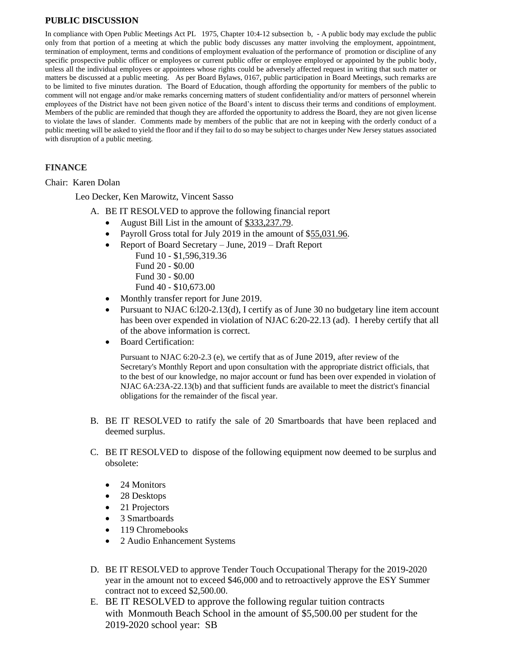## **PUBLIC DISCUSSION**

In compliance with Open Public Meetings Act PL 1975, Chapter 10:4-12 subsection b, - A public body may exclude the public only from that portion of a meeting at which the public body discusses any matter involving the employment, appointment, termination of employment, terms and conditions of employment evaluation of the performance of promotion or discipline of any specific prospective public officer or employees or current public offer or employee employed or appointed by the public body, unless all the individual employees or appointees whose rights could be adversely affected request in writing that such matter or matters be discussed at a public meeting. As per Board Bylaws, 0167, public participation in Board Meetings, such remarks are to be limited to five minutes duration. The Board of Education, though affording the opportunity for members of the public to comment will not engage and/or make remarks concerning matters of student confidentiality and/or matters of personnel wherein employees of the District have not been given notice of the Board's intent to discuss their terms and conditions of employment. Members of the public are reminded that though they are afforded the opportunity to address the Board, they are not given license to violate the laws of slander. Comments made by members of the public that are not in keeping with the orderly conduct of a public meeting will be asked to yield the floor and if they fail to do so may be subject to charges under New Jersey statues associated with disruption of a public meeting.

# **FINANCE**

Chair: Karen Dolan

Leo Decker, Ken Marowitz, Vincent Sasso

- A. BE IT RESOLVED to approve the following financial report
	- August Bill List in the amount of \$333,237.79.
	- Payroll Gross total for July 2019 in the amount of \$55,031.96.
	- Report of Board Secretary June, 2019 Draft Report
		- Fund 10 \$1,596,319.36
		- Fund 20 \$0.00 Fund 30 - \$0.00
		- Fund 40 \$10,673.00
	- Monthly transfer report for June 2019.
	- Pursuant to NJAC 6:120-2.13(d), I certify as of June 30 no budgetary line item account has been over expended in violation of NJAC 6:20-22.13 (ad). I hereby certify that all of the above information is correct.
	- Board Certification:

Pursuant to NJAC 6:20-2.3 (e), we certify that as of June 2019, after review of the Secretary's Monthly Report and upon consultation with the appropriate district officials, that to the best of our knowledge, no major account or fund has been over expended in violation of NJAC 6A:23A-22.13(b) and that sufficient funds are available to meet the district's financial obligations for the remainder of the fiscal year.

- B. BE IT RESOLVED to ratify the sale of 20 Smartboards that have been replaced and deemed surplus.
- C. BE IT RESOLVED to dispose of the following equipment now deemed to be surplus and obsolete:
	- 24 Monitors
	- 28 Desktops
	- 21 Projectors
	- 3 Smartboards
	- 119 Chromebooks
	- 2 Audio Enhancement Systems
- D. BE IT RESOLVED to approve Tender Touch Occupational Therapy for the 2019-2020 year in the amount not to exceed \$46,000 and to retroactively approve the ESY Summer contract not to exceed \$2,500.00.
- E. BE IT RESOLVED to approve the following regular tuition contracts with Monmouth Beach School in the amount of \$5,500.00 per student for the 2019-2020 school year: SB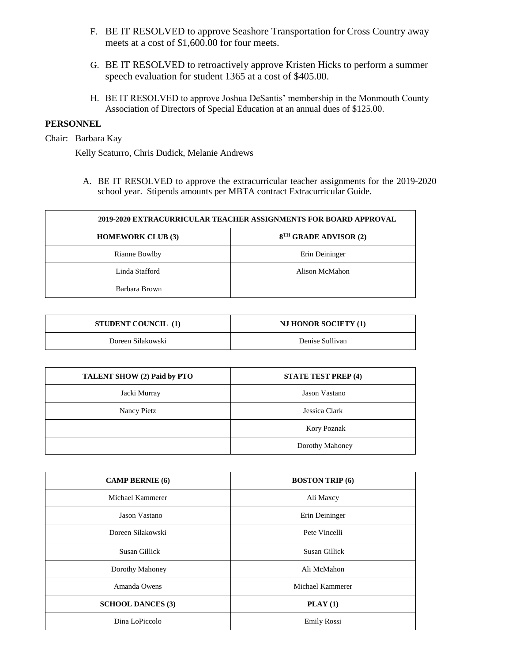- F. BE IT RESOLVED to approve Seashore Transportation for Cross Country away meets at a cost of \$1,600.00 for four meets.
- G. BE IT RESOLVED to retroactively approve Kristen Hicks to perform a summer speech evaluation for student 1365 at a cost of \$405.00.
- H. BE IT RESOLVED to approve Joshua DeSantis' membership in the Monmouth County Association of Directors of Special Education at an annual dues of \$125.00.

## **PERSONNEL**

Chair: Barbara Kay

Kelly Scaturro, Chris Dudick, Melanie Andrews

A. BE IT RESOLVED to approve the extracurricular teacher assignments for the 2019-2020 school year. Stipends amounts per MBTA contract Extracurricular Guide.

| 2019-2020 EXTRACURRICULAR TEACHER ASSIGNMENTS FOR BOARD APPROVAL |                                   |  |  |
|------------------------------------------------------------------|-----------------------------------|--|--|
| <b>HOMEWORK CLUB (3)</b>                                         | 8 <sup>TH</sup> GRADE ADVISOR (2) |  |  |
| Rianne Bowlby                                                    | Erin Deininger                    |  |  |
| Linda Stafford                                                   | Alison McMahon                    |  |  |
| Barbara Brown                                                    |                                   |  |  |

| <b>STUDENT COUNCIL</b> (1) | <b>NJ HONOR SOCIETY (1)</b> |
|----------------------------|-----------------------------|
| Doreen Silakowski          | Denise Sullivan             |

| TALENT SHOW (2) Paid by PTO | <b>STATE TEST PREP (4)</b> |
|-----------------------------|----------------------------|
| Jacki Murray                | Jason Vastano              |
| Nancy Pietz                 | Jessica Clark              |
|                             | Kory Poznak                |
|                             | Dorothy Mahoney            |

| <b>CAMP BERNIE</b> (6)   | <b>BOSTON TRIP (6)</b> |  |
|--------------------------|------------------------|--|
| Michael Kammerer         | Ali Maxcy              |  |
| Jason Vastano            | Erin Deininger         |  |
| Doreen Silakowski        | Pete Vincelli          |  |
| Susan Gillick            | Susan Gillick          |  |
| Dorothy Mahoney          | Ali McMahon            |  |
| Amanda Owens             | Michael Kammerer       |  |
| <b>SCHOOL DANCES (3)</b> | $\textbf{PLAN}$ (1)    |  |
| Dina LoPiccolo           | <b>Emily Rossi</b>     |  |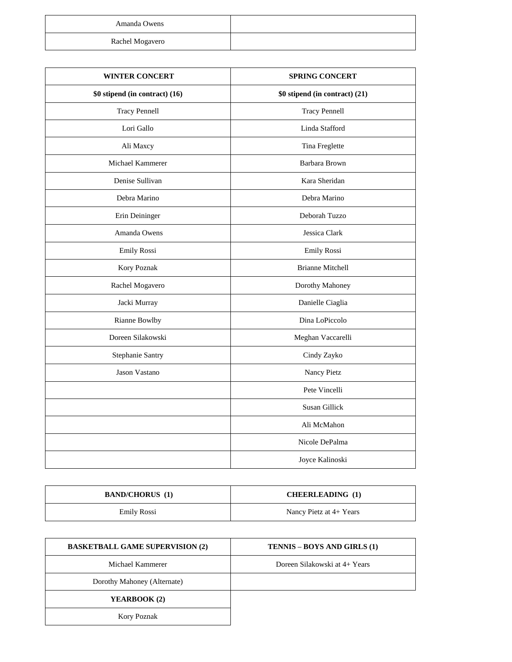| Amanda Owens    |  |
|-----------------|--|
| Rachel Mogavero |  |

| <b>WINTER CONCERT</b>          | <b>SPRING CONCERT</b>          |  |  |
|--------------------------------|--------------------------------|--|--|
| \$0 stipend (in contract) (16) | \$0 stipend (in contract) (21) |  |  |
| <b>Tracy Pennell</b>           | <b>Tracy Pennell</b>           |  |  |
| Lori Gallo                     | Linda Stafford                 |  |  |
| Ali Maxcy                      | Tina Freglette                 |  |  |
| Michael Kammerer               | Barbara Brown                  |  |  |
| Denise Sullivan                | Kara Sheridan                  |  |  |
| Debra Marino                   | Debra Marino                   |  |  |
| Erin Deininger                 | Deborah Tuzzo                  |  |  |
| Amanda Owens                   | Jessica Clark                  |  |  |
| Emily Rossi                    | Emily Rossi                    |  |  |
| Kory Poznak                    | <b>Brianne Mitchell</b>        |  |  |
| Rachel Mogavero                | Dorothy Mahoney                |  |  |
| Jacki Murray                   | Danielle Ciaglia               |  |  |
| Rianne Bowlby                  | Dina LoPiccolo                 |  |  |
| Doreen Silakowski              | Meghan Vaccarelli              |  |  |
| Stephanie Santry               | Cindy Zayko                    |  |  |
| Jason Vastano                  | Nancy Pietz                    |  |  |
|                                | Pete Vincelli                  |  |  |
|                                | Susan Gillick                  |  |  |
|                                | Ali McMahon                    |  |  |
|                                | Nicole DePalma                 |  |  |
|                                | Joyce Kalinoski                |  |  |

| <b>BAND/CHORUS</b> (1) | <b>CHEERLEADING</b> (1) |
|------------------------|-------------------------|
| Emily Rossi            | Nancy Pietz at 4+ Years |

| <b>BASKETBALL GAME SUPERVISION (2)</b> | <b>TENNIS – BOYS AND GIRLS (1)</b> |
|----------------------------------------|------------------------------------|
| Michael Kammerer                       | Doreen Silakowski at 4+ Years      |
| Dorothy Mahoney (Alternate)            |                                    |
| YEARBOOK (2)                           |                                    |
| <b>Kory Poznak</b>                     |                                    |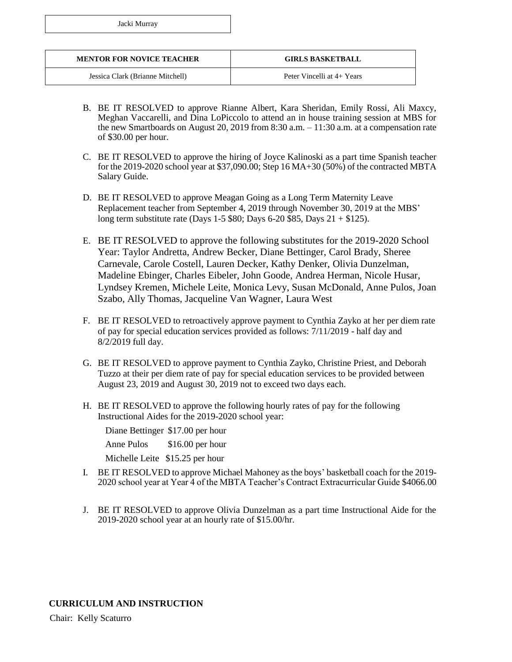|  | Jacki Murray |
|--|--------------|
|--|--------------|

| <b>MENTOR FOR NOVICE TEACHER</b> | <b>GIRLS BASKETBALL</b>    |
|----------------------------------|----------------------------|
| Jessica Clark (Brianne Mitchell) | Peter Vincelli at 4+ Years |

- B. BE IT RESOLVED to approve Rianne Albert, Kara Sheridan, Emily Rossi, Ali Maxcy, Meghan Vaccarelli, and Dina LoPiccolo to attend an in house training session at MBS for the new Smartboards on August 20, 2019 from 8:30 a.m. – 11:30 a.m. at a compensation rate of \$30.00 per hour.
- C. BE IT RESOLVED to approve the hiring of Joyce Kalinoski as a part time Spanish teacher for the 2019-2020 school year at \$37,090.00; Step 16 MA+30 (50%) of the contracted MBTA Salary Guide.
- D. BE IT RESOLVED to approve Meagan Going as a Long Term Maternity Leave Replacement teacher from September 4, 2019 through November 30, 2019 at the MBS' long term substitute rate (Days 1-5 \$80; Days 6-20 \$85, Days 21 + \$125).
- E. BE IT RESOLVED to approve the following substitutes for the 2019-2020 School Year: Taylor Andretta, Andrew Becker, Diane Bettinger, Carol Brady, Sheree Carnevale, Carole Costell, Lauren Decker, Kathy Denker, Olivia Dunzelman, Madeline Ebinger, Charles Eibeler, John Goode, Andrea Herman, Nicole Husar, Lyndsey Kremen, Michele Leite, Monica Levy, Susan McDonald, Anne Pulos, Joan Szabo, Ally Thomas, Jacqueline Van Wagner, Laura West
- F. BE IT RESOLVED to retroactively approve payment to Cynthia Zayko at her per diem rate of pay for special education services provided as follows: 7/11/2019 - half day and 8/2/2019 full day.
- G. BE IT RESOLVED to approve payment to Cynthia Zayko, Christine Priest, and Deborah Tuzzo at their per diem rate of pay for special education services to be provided between August 23, 2019 and August 30, 2019 not to exceed two days each.
- H. BE IT RESOLVED to approve the following hourly rates of pay for the following Instructional Aides for the 2019-2020 school year:

Diane Bettinger \$17.00 per hour

Anne Pulos \$16.00 per hour

Michelle Leite \$15.25 per hour

- I. BE IT RESOLVED to approve Michael Mahoney as the boys' basketball coach for the 2019- 2020 school year at Year 4 of the MBTA Teacher's Contract Extracurricular Guide \$4066.00
- J. BE IT RESOLVED to approve Olivia Dunzelman as a part time Instructional Aide for the 2019-2020 school year at an hourly rate of \$15.00/hr.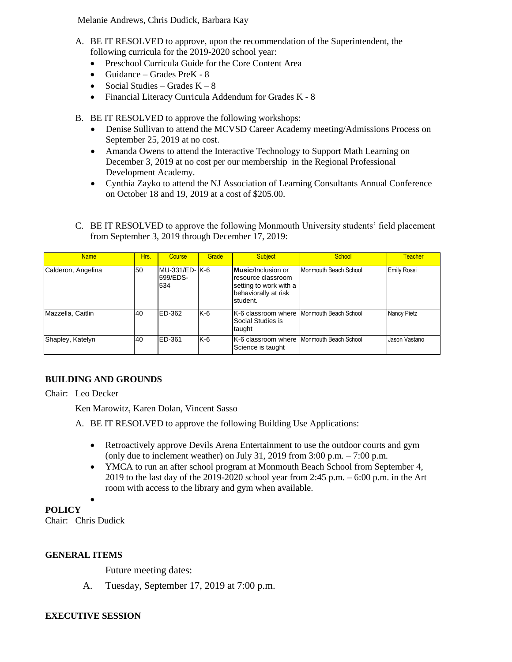Melanie Andrews, Chris Dudick, Barbara Kay

- A. BE IT RESOLVED to approve, upon the recommendation of the Superintendent, the following curricula for the 2019-2020 school year:
	- Preschool Curricula Guide for the Core Content Area
	- $\bullet$  Guidance Grades PreK 8
	- Social Studies Grades  $K 8$
	- Financial Literacy Curricula Addendum for Grades K 8
- B. BE IT RESOLVED to approve the following workshops:
	- Denise Sullivan to attend the MCVSD Career Academy meeting/Admissions Process on September 25, 2019 at no cost.
	- Amanda Owens to attend the Interactive Technology to Support Math Learning on December 3, 2019 at no cost per our membership in the Regional Professional Development Academy.
	- Cynthia Zayko to attend the NJ Association of Learning Consultants Annual Conference on October 18 and 19, 2019 at a cost of \$205.00.
- C. BE IT RESOLVED to approve the following Monmouth University students' field placement from September 3, 2019 through December 17, 2019:

| Name               | Hrs. | Course                              | Grade | <b>Subject</b>                                                                                                 | School                | <b>Teacher</b>     |
|--------------------|------|-------------------------------------|-------|----------------------------------------------------------------------------------------------------------------|-----------------------|--------------------|
| Calderon, Angelina | 50   | lMU-331/ED- lK-6<br>599/EDS-<br>534 |       | <b>Music</b> /Inclusion or<br>resource classroom<br>setting to work with a<br>behaviorally at risk<br>student. | Monmouth Beach School | <b>Emily Rossi</b> |
| Mazzella, Caitlin  | 40   | ED-362                              | $K-6$ | K-6 classroom where Monmouth Beach School<br>Social Studies is<br>taught                                       |                       | <b>Nancy Pietz</b> |
| Shapley, Katelyn   | 40   | ED-361                              | $K-6$ | K-6 classroom where Monmouth Beach School<br>Science is taught                                                 |                       | Jason Vastano      |

# **BUILDING AND GROUNDS**

Chair: Leo Decker

Ken Marowitz, Karen Dolan, Vincent Sasso

- A. BE IT RESOLVED to approve the following Building Use Applications:
	- Retroactively approve Devils Arena Entertainment to use the outdoor courts and gym (only due to inclement weather) on July 31, 2019 from  $3:00$  p.m.  $- 7:00$  p.m.
	- YMCA to run an after school program at Monmouth Beach School from September 4, 2019 to the last day of the 2019-2020 school year from 2:45 p.m. – 6:00 p.m. in the Art room with access to the library and gym when available.

**POLICY**

Chair: Chris Dudick

 $\bullet$ 

## **GENERAL ITEMS**

Future meeting dates:

A. Tuesday, September 17, 2019 at 7:00 p.m.

## **EXECUTIVE SESSION**